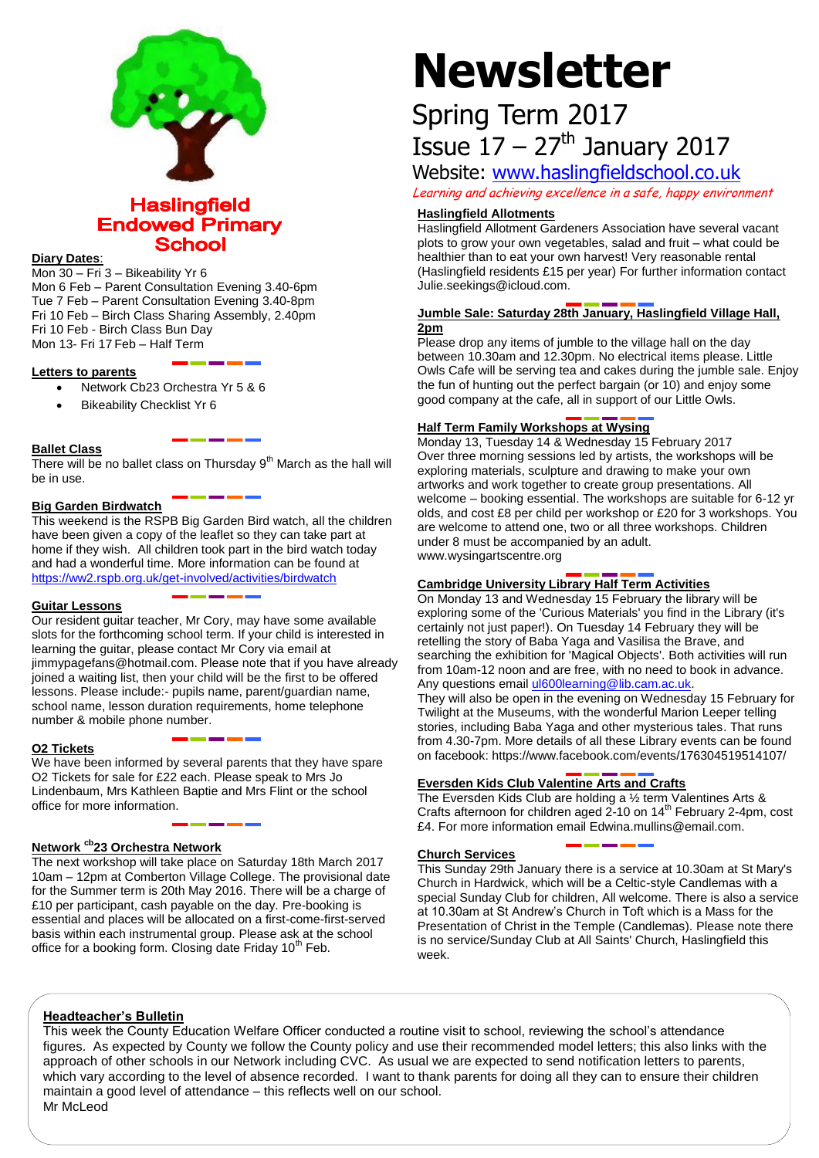

**Haslingfield Endowed Primary School** 

# **Diary Dates**:

Mon 30 – Fri 3 – Bikeability Yr 6 Mon 6 Feb – Parent Consultation Evening 3.40-6pm Tue 7 Feb – Parent Consultation Evening 3.40-8pm Fri 10 Feb – Birch Class Sharing Assembly, 2.40pm Fri 10 Feb - Birch Class Bun Day Mon 13- Fri 17 Feb – Half Term

# **Letters to parents**

- Network Cb23 Orchestra Yr 5 & 6
- Bikeability Checklist Yr 6

# **Ballet Class**

There will be no ballet class on Thursday  $9<sup>th</sup>$  March as the hall will be in use.

# **Big Garden Birdwatch**

This weekend is the RSPB Big Garden Bird watch, all the children have been given a copy of the leaflet so they can take part at home if they wish. All children took part in the bird watch today and had a wonderful time. More information can be found at <https://ww2.rspb.org.uk/get-involved/activities/birdwatch>

# **Guitar Lessons**

Our resident guitar teacher, Mr Cory, may have some available slots for the forthcoming school term. If your child is interested in learning the guitar, please contact Mr Cory via email at jimmypagefans@hotmail.com. Please note that if you have already joined a waiting list, then your child will be the first to be offered lessons. Please include:- pupils name, parent/guardian name, school name, lesson duration requirements, home telephone number & mobile phone number.

# **O2 Tickets**

We have been informed by several parents that they have spare O2 Tickets for sale for £22 each. Please speak to Mrs Jo Lindenbaum, Mrs Kathleen Baptie and Mrs Flint or the school office for more information.

# **Network cb23 Orchestra Network**

The next workshop will take place on Saturday 18th March 2017 10am – 12pm at Comberton Village College. The provisional date for the Summer term is 20th May 2016. There will be a charge of £10 per participant, cash payable on the day. Pre-booking is essential and places will be allocated on a first-come-first-served basis within each instrumental group. Please ask at the school office for a booking form. Closing date Friday  $10<sup>th</sup>$  Feb.

# **Newsletter**

# Spring Term 2017 Issue  $17 - 27$ <sup>th</sup> January 2017

Website: [www.haslingfieldschool.co.uk](http://www.haslingfieldschool.co.uk/)

Learning and achieving excellence in a safe, happy environment

## **Haslingfield Allotments**

Haslingfield Allotment Gardeners Association have several vacant plots to grow your own vegetables, salad and fruit – what could be healthier than to eat your own harvest! Very reasonable rental (Haslingfield residents £15 per year) For further information contact Julie.seekings@icloud.com.

# **Jumble Sale: Saturday 28th January, Haslingfield Village Hall, 2pm**

Please drop any items of jumble to the village hall on the day between 10.30am and 12.30pm. No electrical items please. Little Owls Cafe will be serving tea and cakes during the jumble sale. Enjoy the fun of hunting out the perfect bargain (or 10) and enjoy some good company at the cafe, all in support of our Little Owls.

# **Half Term Family Workshops at Wysing**

Monday 13, Tuesday 14 & Wednesday 15 February 2017 Over three morning sessions led by artists, the workshops will be exploring materials, sculpture and drawing to make your own artworks and work together to create group presentations. All welcome – booking essential. The workshops are suitable for 6-12 yr olds, and cost £8 per child per workshop or £20 for 3 workshops. You are welcome to attend one, two or all three workshops. Children under 8 must be accompanied by an adult. www.wysingartscentre.org

# **Cambridge University Library Half Term Activities**

On Monday 13 and Wednesday 15 February the library will be exploring some of the 'Curious Materials' you find in the Library (it's certainly not just paper!). On Tuesday 14 February they will be retelling the story of Baba Yaga and Vasilisa the Brave, and searching the exhibition for 'Magical Objects'. Both activities will run from 10am-12 noon and are free, with no need to book in advance. Any questions emai[l ul600learning@lib.cam.ac.uk.](mailto:ul600learning@lib.cam.ac.uk)

They will also be open in the evening on Wednesday 15 February for Twilight at the Museums, with the wonderful Marion Leeper telling stories, including Baba Yaga and other mysterious tales. That runs from 4.30-7pm. More details of all these Library events can be found on facebook: https://www.facebook.com/events/176304519514107/

# **Eversden Kids Club Valentine Arts and Crafts**

The Eversden Kids Club are holding a ½ term Valentines Arts & Crafts afternoon for children aged  $2-10$  on  $14<sup>th</sup>$  February 2-4pm, cost £4. For more information email Edwina.mullins@email.com.

#### **Church Services**

This Sunday 29th January there is a service at 10.30am at St Mary's Church in Hardwick, which will be a Celtic-style Candlemas with a special Sunday Club for children, All welcome. There is also a service at 10.30am at St Andrew's Church in Toft which is a Mass for the Presentation of Christ in the Temple (Candlemas). Please note there is no service/Sunday Club at All Saints' Church, Haslingfield this week.

# **Headteacher's Bulletin**

This week the County Education Welfare Officer conducted a routine visit to school, reviewing the school's attendance figures. As expected by County we follow the County policy and use their recommended model letters; this also links with the approach of other schools in our Network including CVC. As usual we are expected to send notification letters to parents, which vary according to the level of absence recorded. I want to thank parents for doing all they can to ensure their children maintain a good level of attendance – this reflects well on our school. Mr McLeod